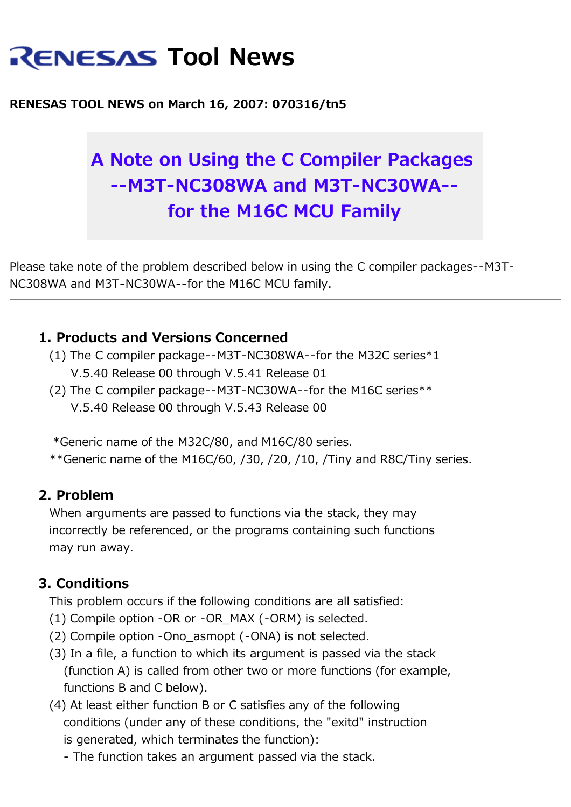# **RENESAS Tool News**

#### **RENESAS TOOL NEWS on March 16, 2007: 070316/tn5**

## **A Note on Using the C Compiler Packages --M3T-NC308WA and M3T-NC30WA- for the M16C MCU Family**

Please take note of the problem described below in using the C compiler packages--M3T-NC308WA and M3T-NC30WA--for the M16C MCU family.

#### **1. Products and Versions Concerned**

- (1) The C compiler package--M3T-NC308WA--for the M32C series\*1 V.5.40 Release 00 through V.5.41 Release 01
- (2) The C compiler package--M3T-NC30WA--for the M16C series\*\* V.5.40 Release 00 through V.5.43 Release 00

 \*Generic name of the M32C/80, and M16C/80 series. \*\*Generic name of the M16C/60, /30, /20, /10, /Tiny and R8C/Tiny series.

#### **2. Problem**

 When arguments are passed to functions via the stack, they may incorrectly be referenced, or the programs containing such functions may run away.

### **3. Conditions**

This problem occurs if the following conditions are all satisfied:

- (1) Compile option -OR or -OR\_MAX (-ORM) is selected.
- (2) Compile option -Ono\_asmopt (-ONA) is not selected.
- (3) In a file, a function to which its argument is passed via the stack (function A) is called from other two or more functions (for example, functions B and C below).
- (4) At least either function B or C satisfies any of the following conditions (under any of these conditions, the "exitd" instruction is generated, which terminates the function):
	- The function takes an argument passed via the stack.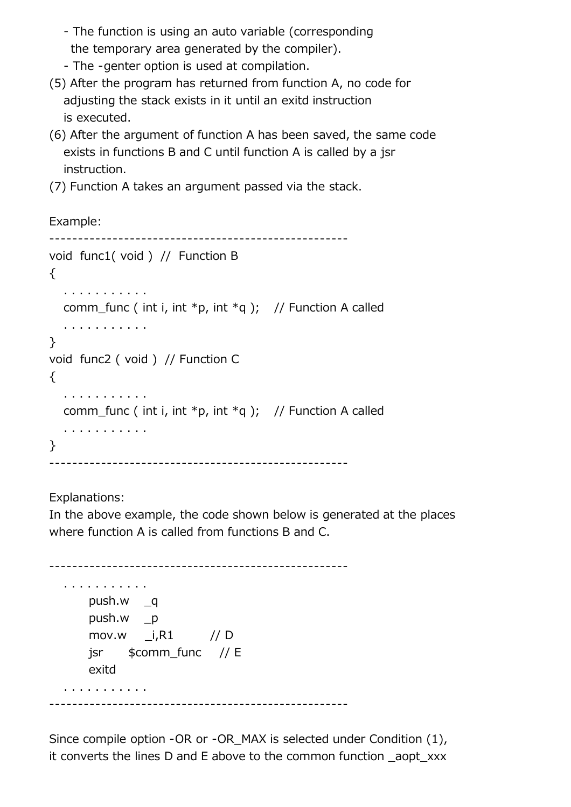- The function is using an auto variable (corresponding the temporary area generated by the compiler).

- The -genter option is used at compilation.
- (5) After the program has returned from function A, no code for adjusting the stack exists in it until an exitd instruction is executed.
- (6) After the argument of function A has been saved, the same code exists in functions B and C until function A is called by a jsr instruction.
- (7) Function A takes an argument passed via the stack.

Example:

```
 ----------------------------------------------------
 void func1( void ) // Function B
\{ . . . . . . . . . . . 
  comm_func ( int i, int *p, int *q ); // Function A called
   . . . . . . . . . . . 
 }
 void func2 ( void ) // Function C
 {
   . . . . . . . . . . . 
  comm_func ( int i, int *p, int *q ); // Function A called
    . . . . . . . . . . . 
 }
       ----------------------------------------------------
```
Explanations:

 In the above example, the code shown below is generated at the places where function A is called from functions B and C.

```
 ----------------------------------------------------
 . . . . . . . . . . . 
     push.w _q
     push.w _p
    mov.w i, R1 // D
     jsr $comm_func // E
     exitd
 . . . . . . . . . . . 
 ----------------------------------------------------
```
 Since compile option -OR or -OR\_MAX is selected under Condition (1), it converts the lines D and E above to the common function \_aopt\_xxx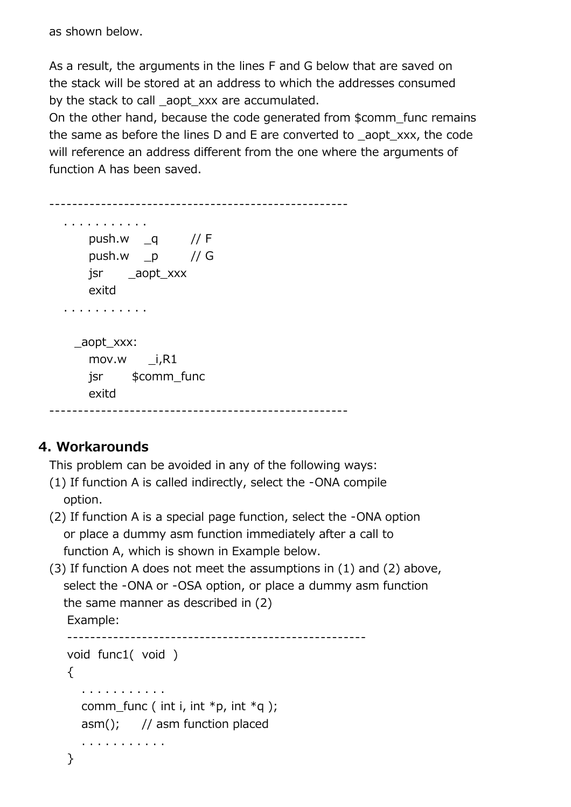as shown below.

 As a result, the arguments in the lines F and G below that are saved on the stack will be stored at an address to which the addresses consumed by the stack to call aopt xxx are accumulated.

 On the other hand, because the code generated from \$comm\_func remains the same as before the lines D and E are converted to \_aopt\_xxx, the code will reference an address different from the one where the arguments of function A has been saved.

```
 ----------------------------------------------------
 . . . . . . . . . . . 
    push.w _q // F
    push.w p / G jsr _aopt_xxx
     exitd
 . . . . . . . . . . . 
   _aopt_xxx: 
    mov.w i, R1 jsr $comm_func 
     exitd
 ----------------------------------------------------
```
## **4. Workarounds**

This problem can be avoided in any of the following ways:

- (1) If function A is called indirectly, select the -ONA compile option.
- (2) If function A is a special page function, select the -ONA option or place a dummy asm function immediately after a call to function A, which is shown in Example below.
- (3) If function A does not meet the assumptions in (1) and (2) above, select the -ONA or -OSA option, or place a dummy asm function the same manner as described in (2) Example: --------------------------------------------------- void func1( void )  $\{$

```
 . . . . . . . . . . .
comm func ( int i, int *p, int *q );
 asm(); // asm function placed
```

```
 }
```
. . . . . . . . . . .